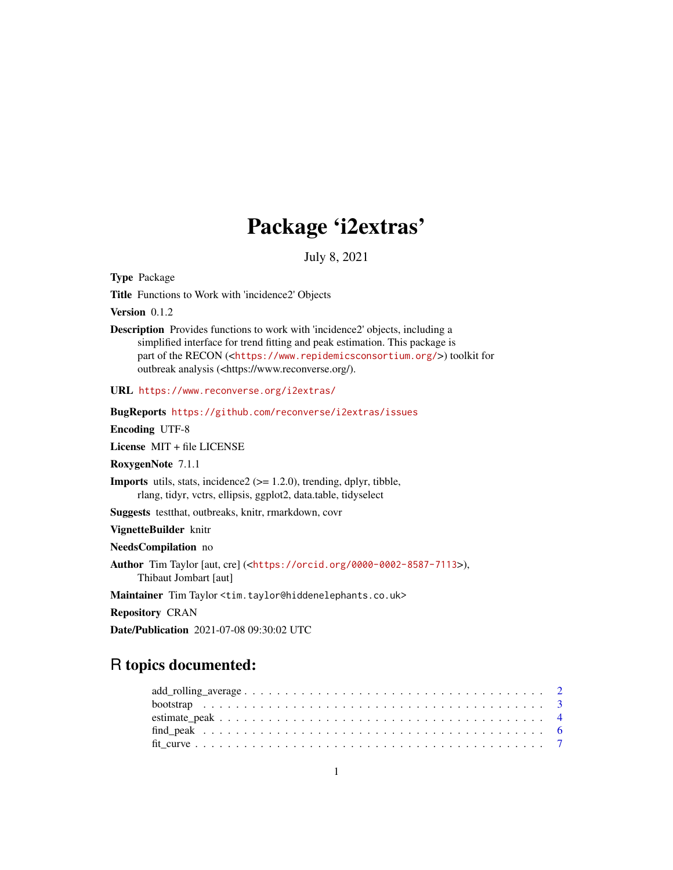## Package 'i2extras'

July 8, 2021

<span id="page-0-0"></span>Type Package

Title Functions to Work with 'incidence2' Objects

Version 0.1.2

Description Provides functions to work with 'incidence2' objects, including a simplified interface for trend fitting and peak estimation. This package is part of the RECON (<<https://www.repidemicsconsortium.org/>>) toolkit for outbreak analysis (<https://www.reconverse.org/).

URL <https://www.reconverse.org/i2extras/>

BugReports <https://github.com/reconverse/i2extras/issues>

Encoding UTF-8

License MIT + file LICENSE

RoxygenNote 7.1.1

**Imports** utils, stats, incidence  $2 \approx 1.2.0$ , trending, dplyr, tibble, rlang, tidyr, vctrs, ellipsis, ggplot2, data.table, tidyselect

Suggests testthat, outbreaks, knitr, rmarkdown, covr

VignetteBuilder knitr

NeedsCompilation no

Author Tim Taylor [aut, cre] (<<https://orcid.org/0000-0002-8587-7113>>), Thibaut Jombart [aut]

Maintainer Tim Taylor <tim.taylor@hiddenelephants.co.uk>

Repository CRAN

Date/Publication 2021-07-08 09:30:02 UTC

### R topics documented: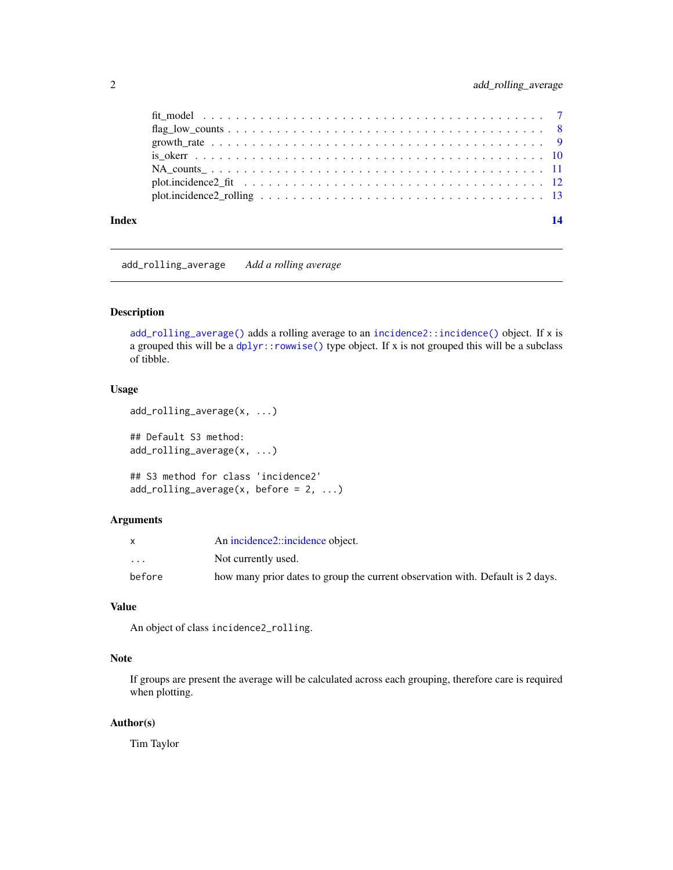<span id="page-1-0"></span>

| Index |                                                                                                                | 14 |
|-------|----------------------------------------------------------------------------------------------------------------|----|
|       |                                                                                                                |    |
|       |                                                                                                                |    |
|       |                                                                                                                |    |
|       |                                                                                                                |    |
|       |                                                                                                                |    |
|       | $flag_low_counts \ldots \ldots \ldots \ldots \ldots \ldots \ldots \ldots \ldots \ldots \ldots \ldots \ldots 8$ |    |
|       |                                                                                                                |    |

<span id="page-1-1"></span>

add\_rolling\_average *Add a rolling average*

#### Description

[add\\_rolling\\_average\(\)](#page-1-1) adds a rolling average to an [incidence2::incidence\(\)](#page-0-0) object. If x is a grouped this will be a dplyr:: rowwise() type object. If x is not grouped this will be a subclass of tibble.

#### Usage

```
add_rolling_average(x, ...)
## Default S3 method:
```
add\_rolling\_average(x, ...) ## S3 method for class 'incidence2'  $add\_rolling\_average(x, before = 2, ...)$ 

#### Arguments

|                         | An incidence2::incidence object.                                               |
|-------------------------|--------------------------------------------------------------------------------|
| $\cdot$ $\cdot$ $\cdot$ | Not currently used.                                                            |
| before                  | how many prior dates to group the current observation with. Default is 2 days. |

#### Value

An object of class incidence2\_rolling.

#### Note

If groups are present the average will be calculated across each grouping, therefore care is required when plotting.

#### Author(s)

Tim Taylor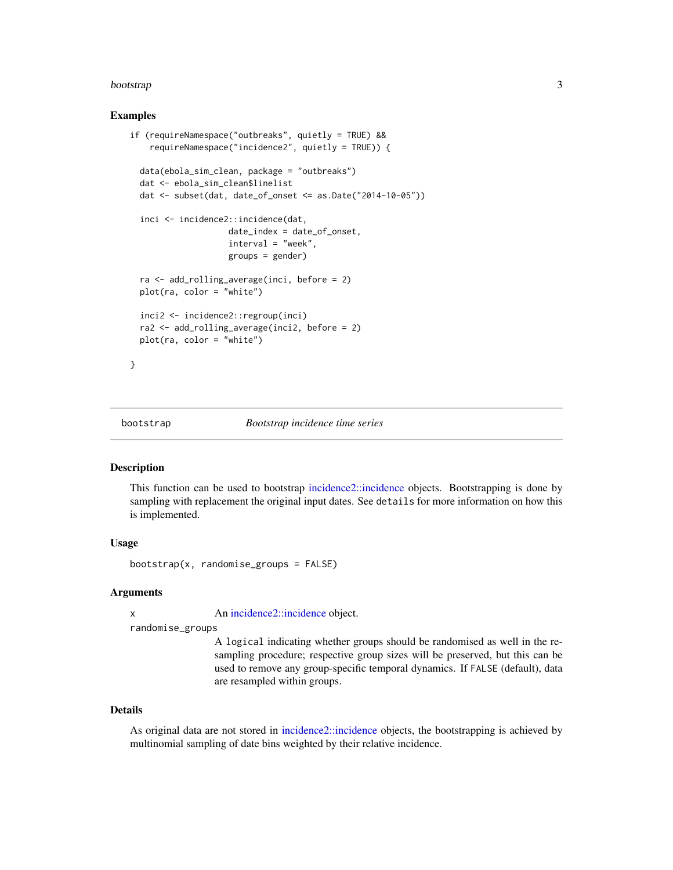#### <span id="page-2-0"></span>bootstrap 3 and 3 and 3 and 3 and 3 and 3 and 3 and 3 and 3 and 3 and 3 and 3 and 3 and 3 and 3 and 3 and 3 and 3 and 3 and 3 and 3 and 3 and 3 and 3 and 3 and 3 and 3 and 3 and 3 and 3 and 3 and 3 and 3 and 3 and 3 and 3

#### Examples

```
if (requireNamespace("outbreaks", quietly = TRUE) &&
    requireNamespace("incidence2", quietly = TRUE)) {
 data(ebola_sim_clean, package = "outbreaks")
 dat <- ebola_sim_clean$linelist
 dat <- subset(dat, date_of_onset <= as.Date("2014-10-05"))
 inci <- incidence2::incidence(dat,
                    date_index = date_of_onset,
                    interval = "week",
                    groups = gender)
 ra <- add_rolling_average(inci, before = 2)
 plot(ra, color = "white")
 inci2 <- incidence2::regroup(inci)
 ra2 <- add_rolling_average(inci2, before = 2)
 plot(ra, color = "white")
}
```
<span id="page-2-1"></span>

#### bootstrap *Bootstrap incidence time series*

#### Description

This function can be used to bootstrap [incidence2::incidence](#page-0-0) objects. Bootstrapping is done by sampling with replacement the original input dates. See details for more information on how this is implemented.

#### Usage

bootstrap(x, randomise\_groups = FALSE)

#### Arguments

x An [incidence2::incidence](#page-0-0) object.

randomise\_groups

A logical indicating whether groups should be randomised as well in the resampling procedure; respective group sizes will be preserved, but this can be used to remove any group-specific temporal dynamics. If FALSE (default), data are resampled within groups.

#### Details

As original data are not stored in [incidence2::incidence](#page-0-0) objects, the bootstrapping is achieved by multinomial sampling of date bins weighted by their relative incidence.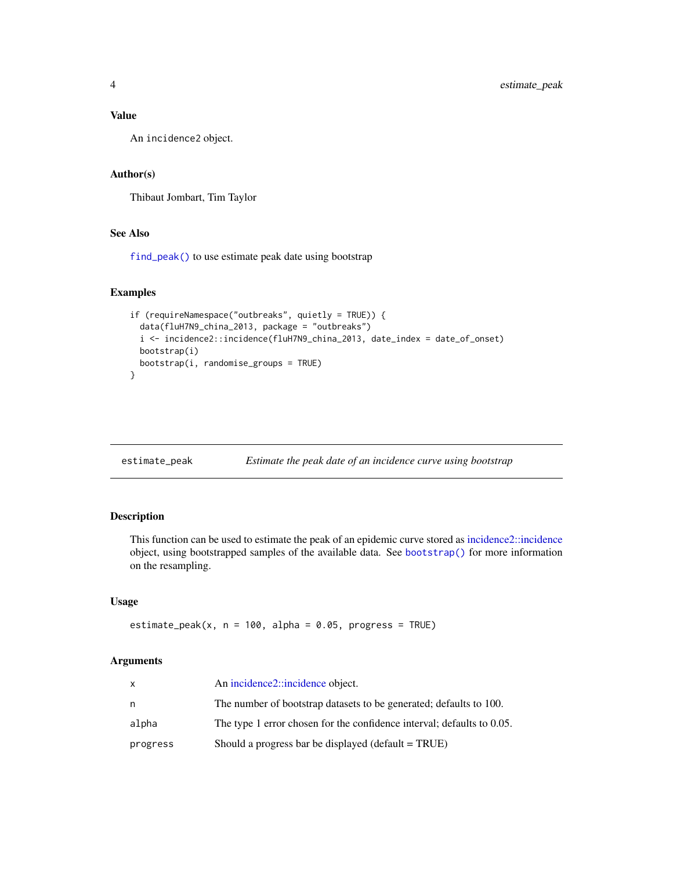#### <span id="page-3-0"></span>Value

An incidence2 object.

#### Author(s)

Thibaut Jombart, Tim Taylor

#### See Also

[find\\_peak\(\)](#page-5-1) to use estimate peak date using bootstrap

#### Examples

```
if (requireNamespace("outbreaks", quietly = TRUE)) {
 data(fluH7N9_china_2013, package = "outbreaks")
 i <- incidence2::incidence(fluH7N9_china_2013, date_index = date_of_onset)
 bootstrap(i)
 bootstrap(i, randomise_groups = TRUE)
}
```
<span id="page-3-1"></span>

| estimate_peak |  | Estimate the peak date of an incidence curve using bootstrap |
|---------------|--|--------------------------------------------------------------|
|               |  |                                                              |

#### Description

This function can be used to estimate the peak of an epidemic curve stored as [incidence2::incidence](#page-0-0) object, using bootstrapped samples of the available data. See [bootstrap\(\)](#page-2-1) for more information on the resampling.

#### Usage

```
estimate_peak(x, n = 100, alpha = 0.05, progress = TRUE)
```
#### Arguments

| x        | An incidence2::incidence object.                                       |
|----------|------------------------------------------------------------------------|
| n        | The number of bootstrap datasets to be generated; defaults to 100.     |
| alpha    | The type 1 error chosen for the confidence interval; defaults to 0.05. |
| progress | Should a progress bar be displayed (default $= TRUE$ )                 |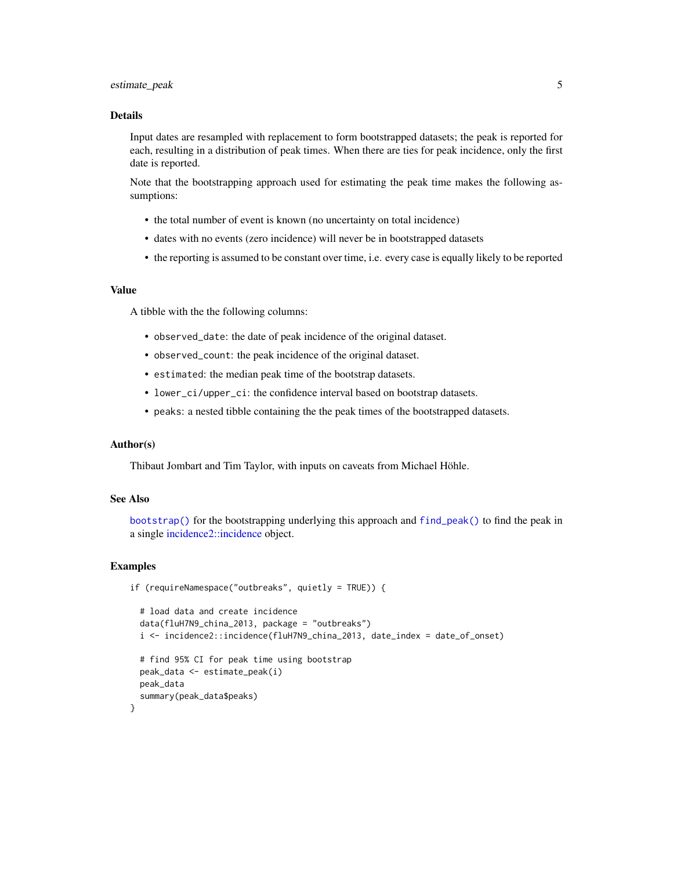#### <span id="page-4-0"></span>estimate\_peak 5

#### Details

Input dates are resampled with replacement to form bootstrapped datasets; the peak is reported for each, resulting in a distribution of peak times. When there are ties for peak incidence, only the first date is reported.

Note that the bootstrapping approach used for estimating the peak time makes the following assumptions:

- the total number of event is known (no uncertainty on total incidence)
- dates with no events (zero incidence) will never be in bootstrapped datasets
- the reporting is assumed to be constant over time, i.e. every case is equally likely to be reported

#### Value

A tibble with the the following columns:

- observed\_date: the date of peak incidence of the original dataset.
- observed\_count: the peak incidence of the original dataset.
- estimated: the median peak time of the bootstrap datasets.
- lower\_ci/upper\_ci: the confidence interval based on bootstrap datasets.
- peaks: a nested tibble containing the the peak times of the bootstrapped datasets.

#### Author(s)

Thibaut Jombart and Tim Taylor, with inputs on caveats from Michael Höhle.

#### See Also

[bootstrap\(\)](#page-2-1) for the bootstrapping underlying this approach and [find\\_peak\(\)](#page-5-1) to find the peak in a single [incidence2::incidence](#page-0-0) object.

#### Examples

```
if (requireNamespace("outbreaks", quietly = TRUE)) {
 # load data and create incidence
 data(fluH7N9_china_2013, package = "outbreaks")
 i <- incidence2::incidence(fluH7N9_china_2013, date_index = date_of_onset)
 # find 95% CI for peak time using bootstrap
 peak_data <- estimate_peak(i)
 peak_data
  summary(peak_data$peaks)
}
```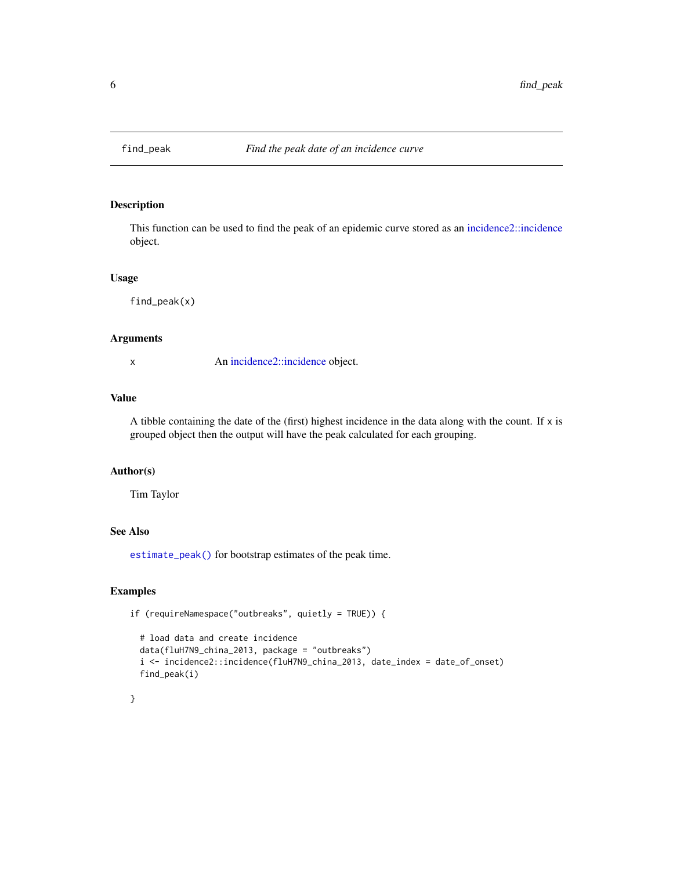<span id="page-5-1"></span><span id="page-5-0"></span>

#### Description

This function can be used to find the peak of an epidemic curve stored as an [incidence2::incidence](#page-0-0) object.

#### Usage

find\_peak(x)

#### Arguments

x An [incidence2::incidence](#page-0-0) object.

#### Value

A tibble containing the date of the (first) highest incidence in the data along with the count. If x is grouped object then the output will have the peak calculated for each grouping.

#### Author(s)

Tim Taylor

#### See Also

[estimate\\_peak\(\)](#page-3-1) for bootstrap estimates of the peak time.

#### Examples

```
if (requireNamespace("outbreaks", quietly = TRUE)) {
```

```
# load data and create incidence
data(fluH7N9_china_2013, package = "outbreaks")
i <- incidence2::incidence(fluH7N9_china_2013, date_index = date_of_onset)
find_peak(i)
```
#### }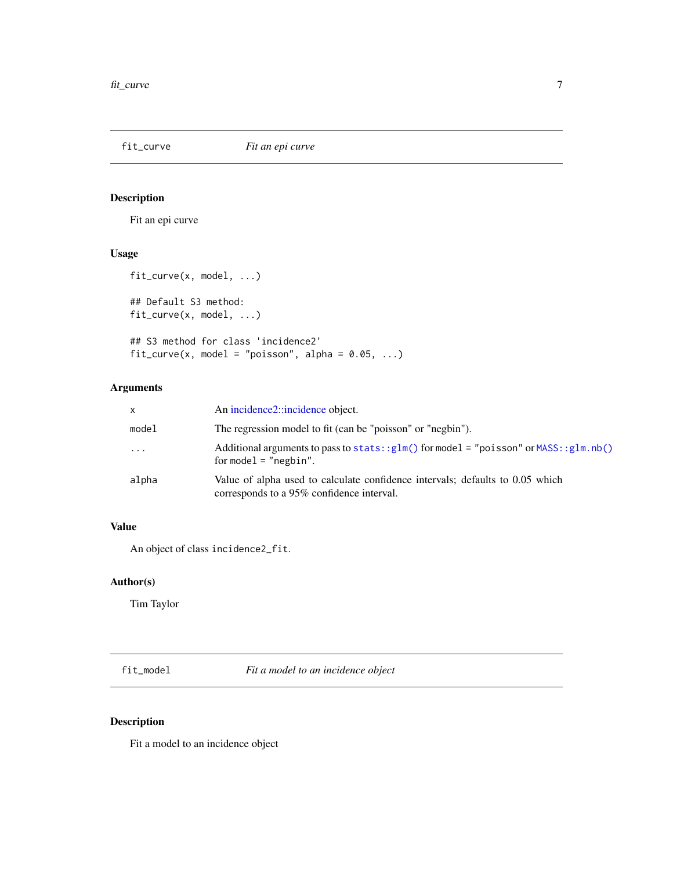<span id="page-6-2"></span><span id="page-6-0"></span>fit\_curve *Fit an epi curve*

#### <span id="page-6-1"></span>Description

Fit an epi curve

#### Usage

```
fit_curve(x, model, ...)
```

```
## Default S3 method:
fit_curve(x, model, ...)
```

```
## S3 method for class 'incidence2'
fit\_curve(x, model = "poisson", alpha = 0.05, ...)
```
#### Arguments

| x        | An incidence2::incidence object.                                                                                           |
|----------|----------------------------------------------------------------------------------------------------------------------------|
| model    | The regression model to fit (can be "poisson" or "negbin").                                                                |
| $\cdots$ | Additional arguments to pass to stats:: $glm()$ for model = "poisson" or MASS:: $glm.nb()$<br>for model = $"negbin"$ .     |
| alpha    | Value of alpha used to calculate confidence intervals; defaults to 0.05 which<br>corresponds to a 95% confidence interval. |

#### Value

An object of class incidence2\_fit.

#### Author(s)

Tim Taylor

fit\_model *Fit a model to an incidence object*

#### Description

Fit a model to an incidence object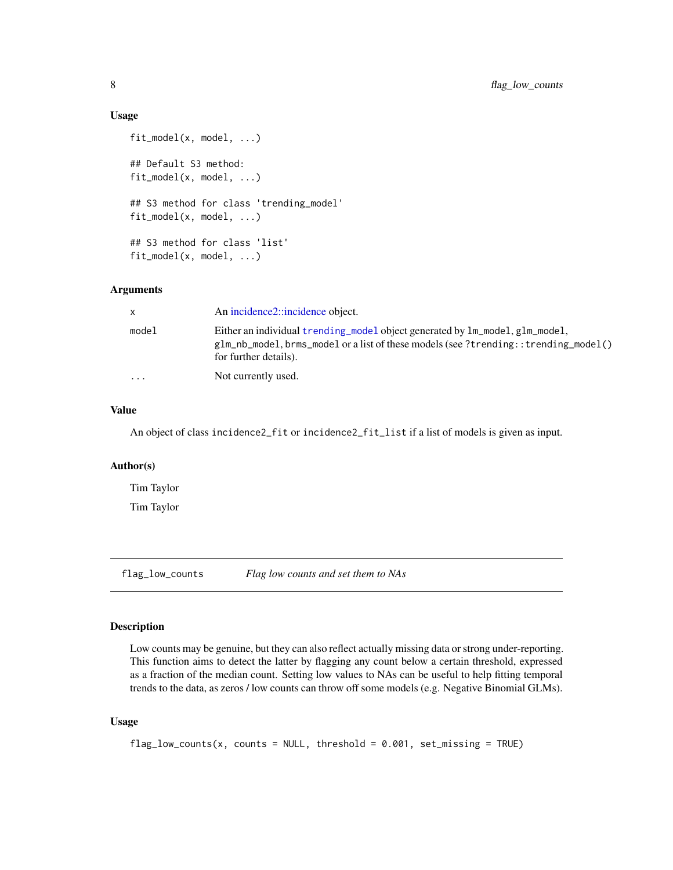#### Usage

```
fit_model(x, model, ...)
## Default S3 method:
fit_model(x, model, ...)
## S3 method for class 'trending_model'
fit_model(x, model, ...)
## S3 method for class 'list'
fit_model(x, model, ...)
```
#### Arguments

| x.        | An incidence2::incidence object.                                                                                                                                                                 |
|-----------|--------------------------------------------------------------------------------------------------------------------------------------------------------------------------------------------------|
| model     | Either an individual trending_model object generated by lm_model, glm_model,<br>$g1m_n$ nb model, brms model or a list of these models (see ?trending::trending model()<br>for further details). |
| $\ddotsc$ | Not currently used.                                                                                                                                                                              |

#### Value

An object of class incidence2\_fit or incidence2\_fit\_list if a list of models is given as input.

#### Author(s)

Tim Taylor Tim Taylor

flag\_low\_counts *Flag low counts and set them to NAs*

#### Description

Low counts may be genuine, but they can also reflect actually missing data or strong under-reporting. This function aims to detect the latter by flagging any count below a certain threshold, expressed as a fraction of the median count. Setting low values to NAs can be useful to help fitting temporal trends to the data, as zeros / low counts can throw off some models (e.g. Negative Binomial GLMs).

#### Usage

```
flag_low_counts(x, counts = NULL, threshold = 0.001, set_missing = TRUE)
```
<span id="page-7-0"></span>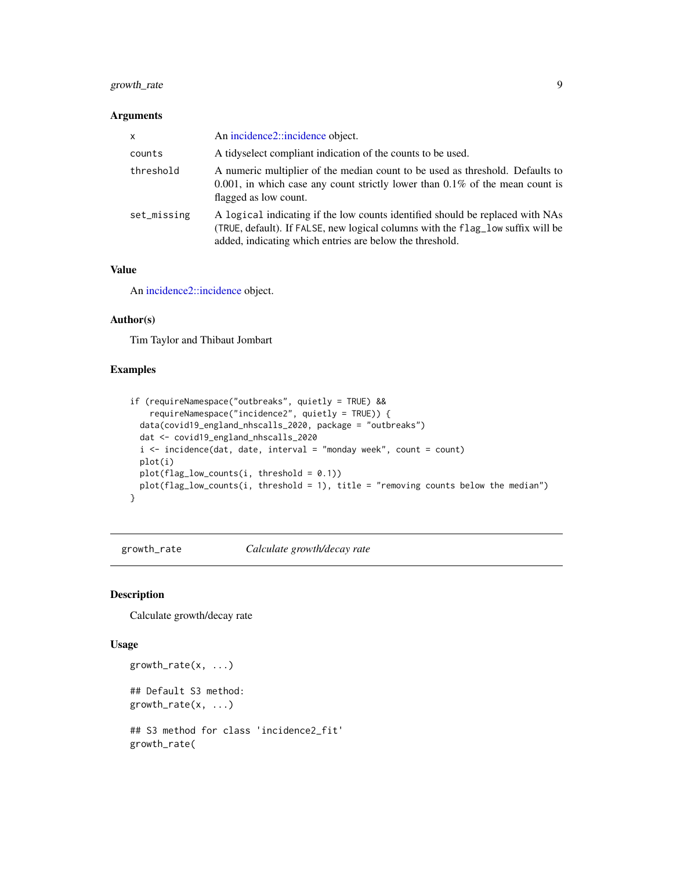#### <span id="page-8-0"></span>growth\_rate 9

#### Arguments

| $\times$    | An incidence 2:: incidence object.                                                                                                                                                                                           |
|-------------|------------------------------------------------------------------------------------------------------------------------------------------------------------------------------------------------------------------------------|
| counts      | A tidyselect compliant indication of the counts to be used.                                                                                                                                                                  |
| threshold   | A numeric multiplier of the median count to be used as threshold. Defaults to<br>$0.001$ , in which case any count strictly lower than $0.1\%$ of the mean count is<br>flagged as low count.                                 |
| set_missing | A logical indicating if the low counts identified should be replaced with NAs<br>(TRUE, default). If FALSE, new logical columns with the flag_low suffix will be<br>added, indicating which entries are below the threshold. |

#### Value

An [incidence2::incidence](#page-0-0) object.

#### Author(s)

Tim Taylor and Thibaut Jombart

#### Examples

```
if (requireNamespace("outbreaks", quietly = TRUE) &&
   requireNamespace("incidence2", quietly = TRUE)) {
 data(covid19_england_nhscalls_2020, package = "outbreaks")
 dat <- covid19_england_nhscalls_2020
 i \le incidence(dat, date, interval = "monday week", count = count)
 plot(i)
 plot(flag_low_counts(i, threshold = 0.1))
 plot(flag_low_counts(i, threshold = 1), title = "removing counts below the median")}
```
growth\_rate *Calculate growth/decay rate*

#### Description

Calculate growth/decay rate

#### Usage

```
growth_rate(x, ...)
## Default S3 method:
growth_rate(x, ...)
## S3 method for class 'incidence2_fit'
growth_rate(
```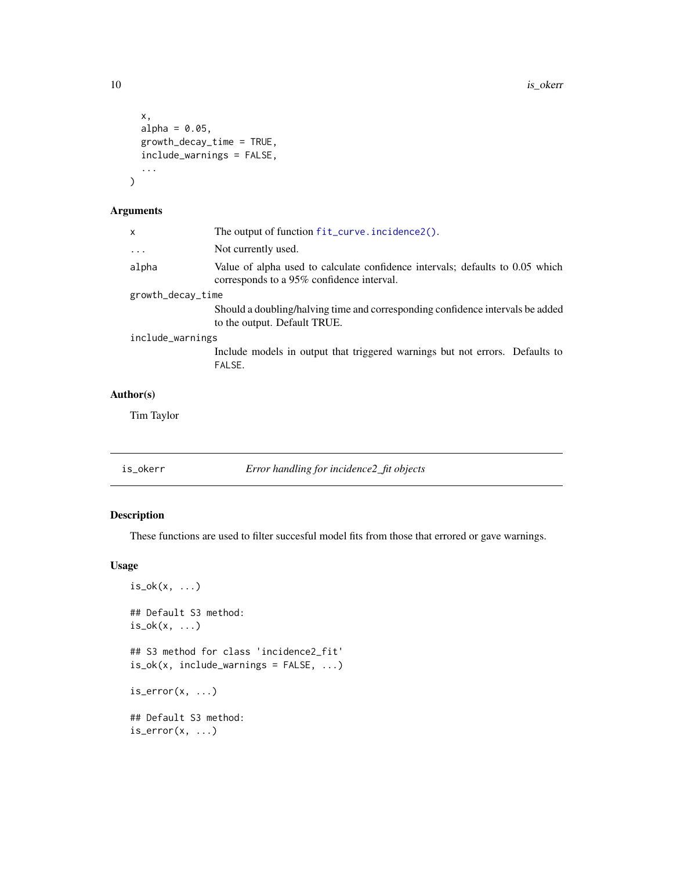```
x,
  alpha = 0.05,
  growth_decay_time = TRUE,
  include_warnings = FALSE,
  ...
\overline{\phantom{a}}
```
#### Arguments

| $\mathsf{x}$      | The output of function fit_curve.incidence2().                                                                             |  |
|-------------------|----------------------------------------------------------------------------------------------------------------------------|--|
| $\cdots$          | Not currently used.                                                                                                        |  |
| alpha             | Value of alpha used to calculate confidence intervals; defaults to 0.05 which<br>corresponds to a 95% confidence interval. |  |
| growth_decay_time |                                                                                                                            |  |
|                   | Should a doubling/halving time and corresponding confidence intervals be added<br>to the output. Default TRUE.             |  |
| include_warnings  |                                                                                                                            |  |
|                   | Include models in output that triggered warnings but not errors. Defaults to<br>FALSE.                                     |  |
| hor(s)            |                                                                                                                            |  |

#### Author(s)

Tim Taylor

is\_okerr *Error handling for incidence2\_fit objects*

#### Description

These functions are used to filter succesful model fits from those that errored or gave warnings.

#### Usage

```
is\_ok(x, \ldots)## Default S3 method:
is\_ok(x, \ldots)## S3 method for class 'incidence2_fit'
is\_ok(x, include\_warnings = FALSE, ...)is_error(x, ...)## Default S3 method:
is_error(x, ...)
```
<span id="page-9-0"></span>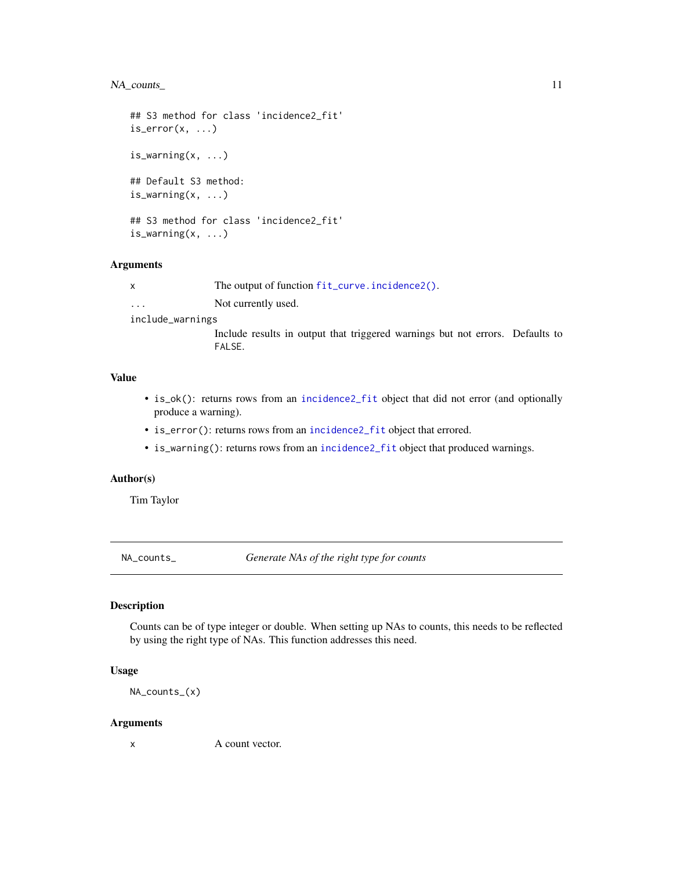#### <span id="page-10-0"></span>NA\_counts\_ 11

```
## S3 method for class 'incidence2_fit'
is_error(x, \ldots)is\_warming(x, ...)## Default S3 method:
is_warning(x, ...)
## S3 method for class 'incidence2_fit'
is_warning(x, ...)
```
#### Arguments

x The output of function [fit\\_curve.incidence2\(\)](#page-6-1).

... Not currently used.

include\_warnings

Include results in output that triggered warnings but not errors. Defaults to FALSE.

#### Value

- is\_ok(): returns rows from an [incidence2\\_fit](#page-6-1) object that did not error (and optionally produce a warning).
- is\_error(): returns rows from an [incidence2\\_fit](#page-6-1) object that errored.
- is\_warning(): returns rows from an [incidence2\\_fit](#page-6-1) object that produced warnings.

#### Author(s)

Tim Taylor

NA\_counts\_ *Generate NAs of the right type for counts*

#### Description

Counts can be of type integer or double. When setting up NAs to counts, this needs to be reflected by using the right type of NAs. This function addresses this need.

#### Usage

NA\_counts\_(x)

#### Arguments

x A count vector.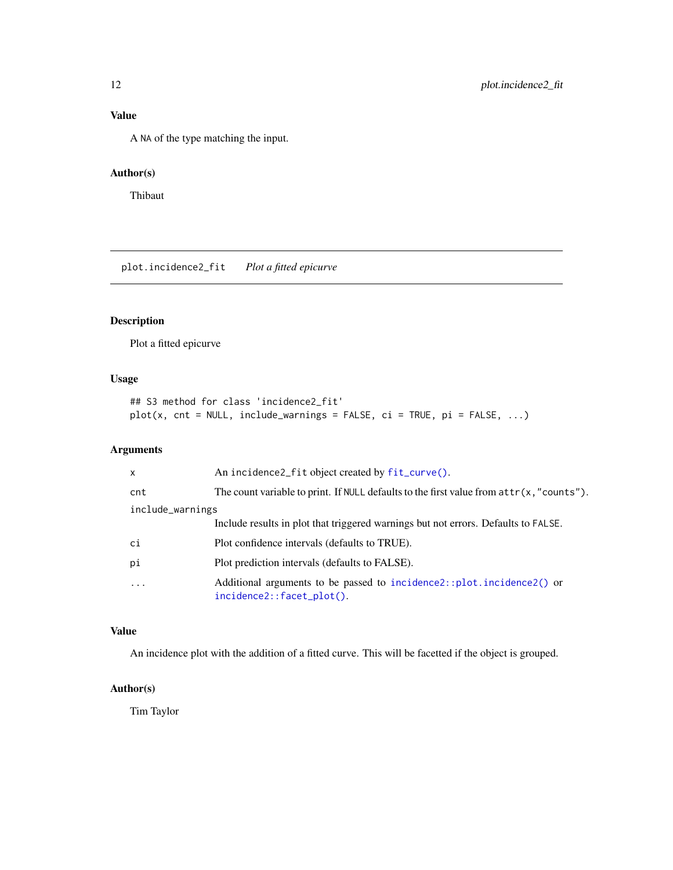#### <span id="page-11-0"></span>Value

A NA of the type matching the input.

#### Author(s)

Thibaut

plot.incidence2\_fit *Plot a fitted epicurve*

#### Description

Plot a fitted epicurve

#### Usage

```
## S3 method for class 'incidence2_fit'
plot(x, cnt = NULL, include_warnings = FALSE, ci = TRUE, pi = FALSE, ...)
```
#### Arguments

| $\mathsf{x}$     | An incidence2_fit object created by fit_curve().                                                   |
|------------------|----------------------------------------------------------------------------------------------------|
| cnt              | The count variable to print. If NULL defaults to the first value from $attr(x, "counts")$ .        |
| include_warnings |                                                                                                    |
|                  | Include results in plot that triggered warnings but not errors. Defaults to FALSE.                 |
| ci               | Plot confidence intervals (defaults to TRUE).                                                      |
| pi               | Plot prediction intervals (defaults to FALSE).                                                     |
| $\cdot$          | Additional arguments to be passed to incidence2::plot.incidence2() or<br>incidence2::facet_plot(). |

#### Value

An incidence plot with the addition of a fitted curve. This will be facetted if the object is grouped.

#### Author(s)

Tim Taylor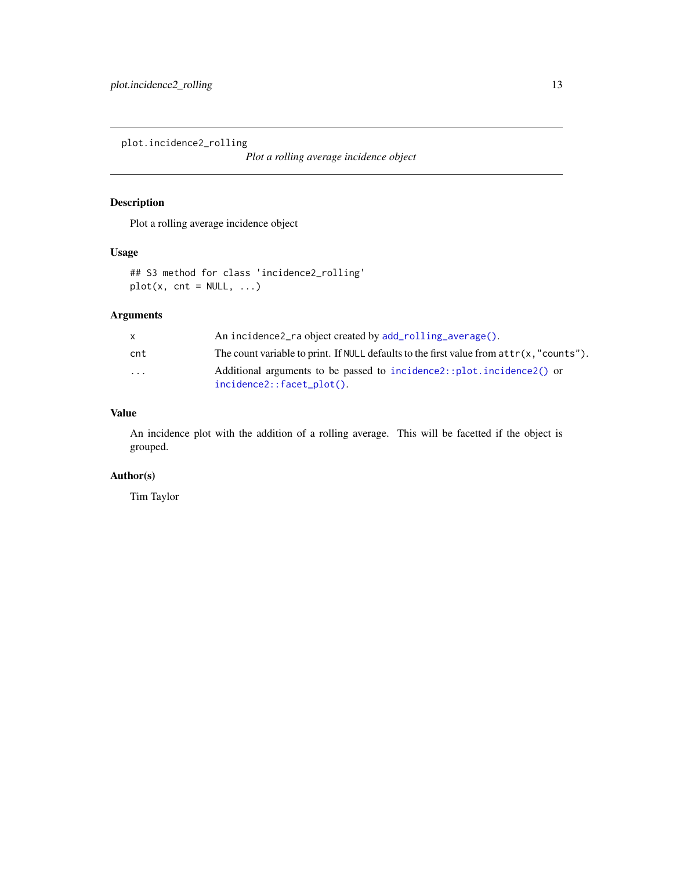<span id="page-12-0"></span>plot.incidence2\_rolling

*Plot a rolling average incidence object*

#### Description

Plot a rolling average incidence object

#### Usage

## S3 method for class 'incidence2\_rolling'  $plot(x, cnt = NULL, ...)$ 

#### Arguments

|           | An incidence2 ra object created by add rolling average().                                              |
|-----------|--------------------------------------------------------------------------------------------------------|
| cnt       | The count variable to print. If NULL defaults to the first value from $attr(x, "counts").$             |
| $\ddotsc$ | Additional arguments to be passed to incidence2::plot.incidence2() or<br>$incidence2::facet\_plot()$ . |

#### Value

An incidence plot with the addition of a rolling average. This will be facetted if the object is grouped.

#### Author(s)

Tim Taylor